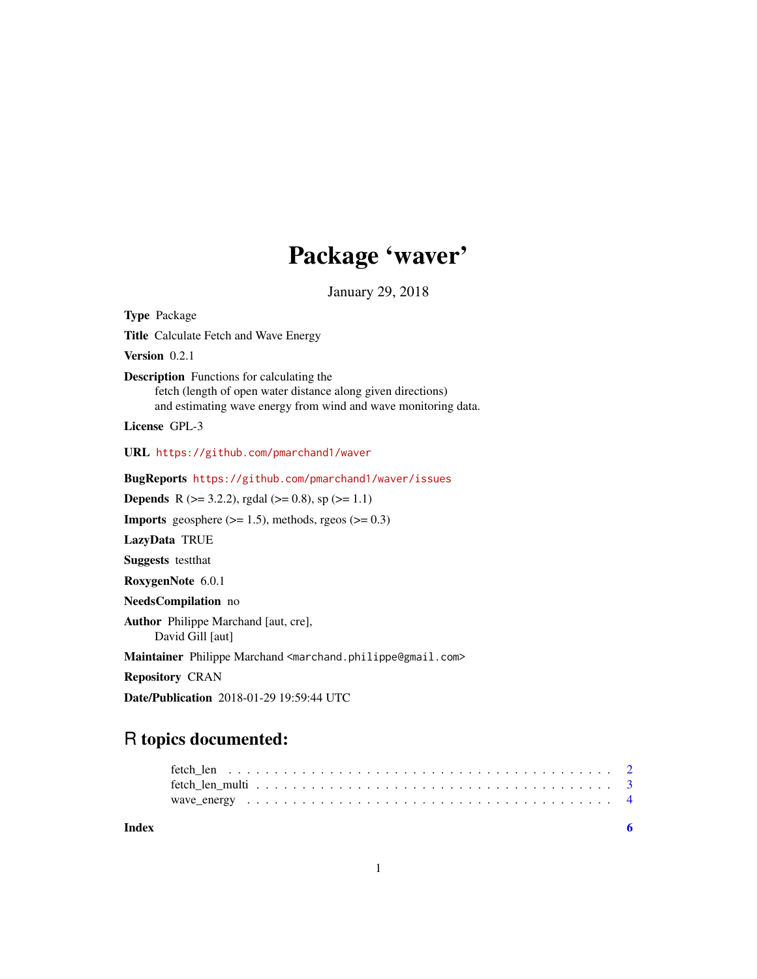# Package 'waver'

January 29, 2018

<span id="page-0-0"></span>

| <b>Type Package</b>                                                                                                                                                                |
|------------------------------------------------------------------------------------------------------------------------------------------------------------------------------------|
| <b>Title</b> Calculate Fetch and Wave Energy                                                                                                                                       |
| Version $0.2.1$                                                                                                                                                                    |
| <b>Description</b> Functions for calculating the<br>fetch (length of open water distance along given directions)<br>and estimating wave energy from wind and wave monitoring data. |
| License GPL-3                                                                                                                                                                      |
| URL https://github.com/pmarchand1/waver                                                                                                                                            |
| BugReports https://github.com/pmarchand1/waver/issues                                                                                                                              |
| <b>Depends</b> R ( $>= 3.2.2$ ), rgdal ( $>= 0.8$ ), sp ( $>= 1.1$ )                                                                                                               |
| <b>Imports</b> geosphere $(>= 1.5)$ , methods, rgeos $(>= 0.3)$                                                                                                                    |
| LazyData TRUE                                                                                                                                                                      |
| <b>Suggests</b> testthat                                                                                                                                                           |
| RoxygenNote 6.0.1                                                                                                                                                                  |
| NeedsCompilation no                                                                                                                                                                |
| Author Philippe Marchand [aut, cre],<br>David Gill [aut]                                                                                                                           |
| Maintainer Philippe Marchand <marchand.philippe@gmail.com></marchand.philippe@gmail.com>                                                                                           |
| <b>Repository CRAN</b>                                                                                                                                                             |
| <b>Date/Publication</b> 2018-01-29 19:59:44 UTC                                                                                                                                    |

# R topics documented: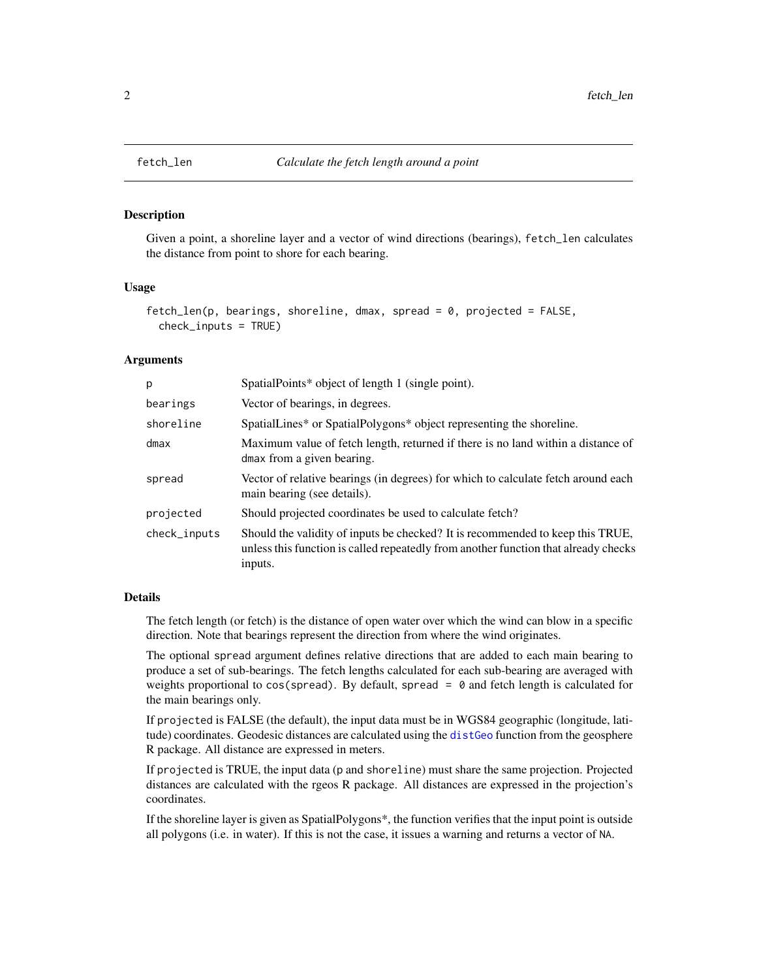<span id="page-1-1"></span><span id="page-1-0"></span>

# Description

Given a point, a shoreline layer and a vector of wind directions (bearings), fetch\_len calculates the distance from point to shore for each bearing.

# Usage

```
fetch\_len(p, bearings, shoreline, dmax, spread = 0, projected = FALSE,check_inputs = TRUE)
```
# **Arguments**

| p            | SpatialPoints* object of length 1 (single point).                                                                                                                                |
|--------------|----------------------------------------------------------------------------------------------------------------------------------------------------------------------------------|
| bearings     | Vector of bearings, in degrees.                                                                                                                                                  |
| shoreline    | SpatialLines* or SpatialPolygons* object representing the shoreline.                                                                                                             |
| $d$ max      | Maximum value of fetch length, returned if there is no land within a distance of<br>dmax from a given bearing.                                                                   |
| spread       | Vector of relative bearings (in degrees) for which to calculate fetch around each<br>main bearing (see details).                                                                 |
| projected    | Should projected coordinates be used to calculate fetch?                                                                                                                         |
| check_inputs | Should the validity of inputs be checked? It is recommended to keep this TRUE,<br>unless this function is called repeatedly from another function that already checks<br>inputs. |

# Details

The fetch length (or fetch) is the distance of open water over which the wind can blow in a specific direction. Note that bearings represent the direction from where the wind originates.

The optional spread argument defines relative directions that are added to each main bearing to produce a set of sub-bearings. The fetch lengths calculated for each sub-bearing are averaged with weights proportional to  $cos(s$  pread). By default, spread =  $\theta$  and fetch length is calculated for the main bearings only.

If projected is FALSE (the default), the input data must be in WGS84 geographic (longitude, latitude) coordinates. Geodesic distances are calculated using the [distGeo](#page-0-0) function from the geosphere R package. All distance are expressed in meters.

If projected is TRUE, the input data (p and shoreline) must share the same projection. Projected distances are calculated with the rgeos R package. All distances are expressed in the projection's coordinates.

If the shoreline layer is given as SpatialPolygons\*, the function verifies that the input point is outside all polygons (i.e. in water). If this is not the case, it issues a warning and returns a vector of NA.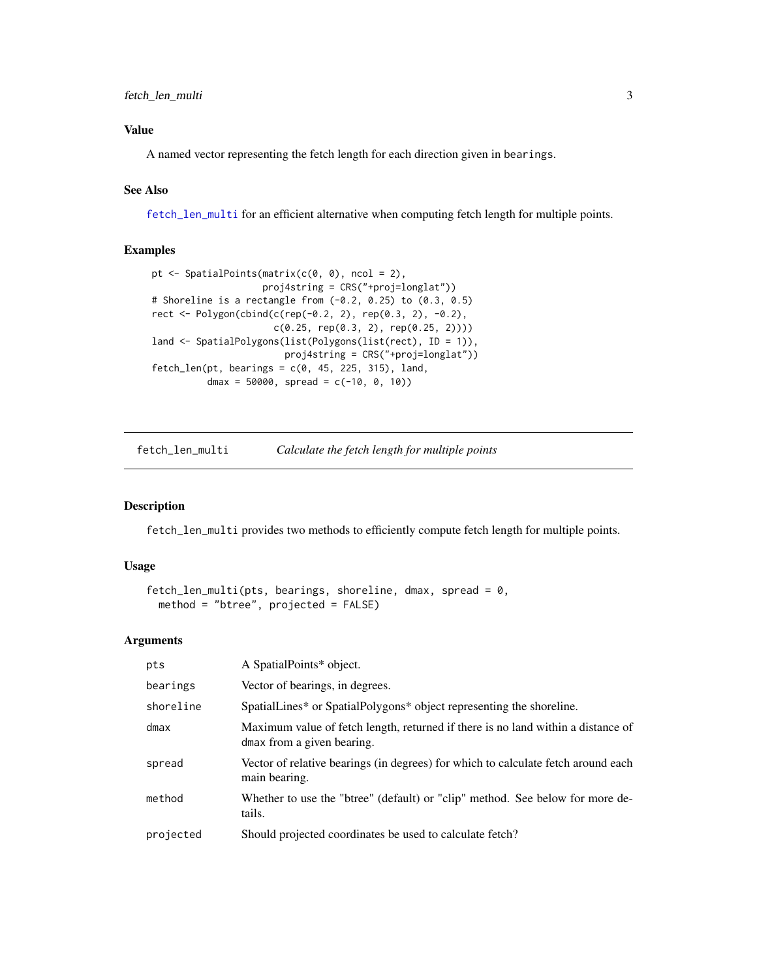# <span id="page-2-0"></span>Value

A named vector representing the fetch length for each direction given in bearings.

# See Also

[fetch\\_len\\_multi](#page-2-1) for an efficient alternative when computing fetch length for multiple points.

# Examples

```
pt <- SpatialPoints(matrix(c(0, 0), ncol = 2),
                   proj4string = CRS("+proj=longlat"))
# Shoreline is a rectangle from (-0.2, 0.25) to (0.3, 0.5)
rect <- Polygon(cbind(c(rep(-0.2, 2), rep(0.3, 2), -0.2),
                      c(0.25, rep(0.3, 2), rep(0.25, 2))))
land <- SpatialPolygons(list(Polygons(list(rect), ID = 1)),
                       proj4string = CRS("+proj=longlat"))
fetch\_len(pt, bearings = c(0, 45, 225, 315), land,dmax = 50000, spread = c(-10, 0, 10)
```
<span id="page-2-1"></span>

| fetch_len_multi | Calculate the fetch length for multiple points |  |
|-----------------|------------------------------------------------|--|
|                 |                                                |  |

# Description

fetch\_len\_multi provides two methods to efficiently compute fetch length for multiple points.

### Usage

```
fetch_len_multi(pts, bearings, shoreline, dmax, spread = 0,
 method = "btree", projected = FALSE)
```
# Arguments

| pts       | A SpatialPoints* object.                                                                                       |
|-----------|----------------------------------------------------------------------------------------------------------------|
| bearings  | Vector of bearings, in degrees.                                                                                |
| shoreline | SpatialLines* or SpatialPolygons* object representing the shoreline.                                           |
| $d$ max   | Maximum value of fetch length, returned if there is no land within a distance of<br>dmax from a given bearing. |
| spread    | Vector of relative bearings (in degrees) for which to calculate fetch around each<br>main bearing.             |
| method    | Whether to use the "btree" (default) or "clip" method. See below for more de-<br>tails.                        |
| projected | Should projected coordinates be used to calculate fetch?                                                       |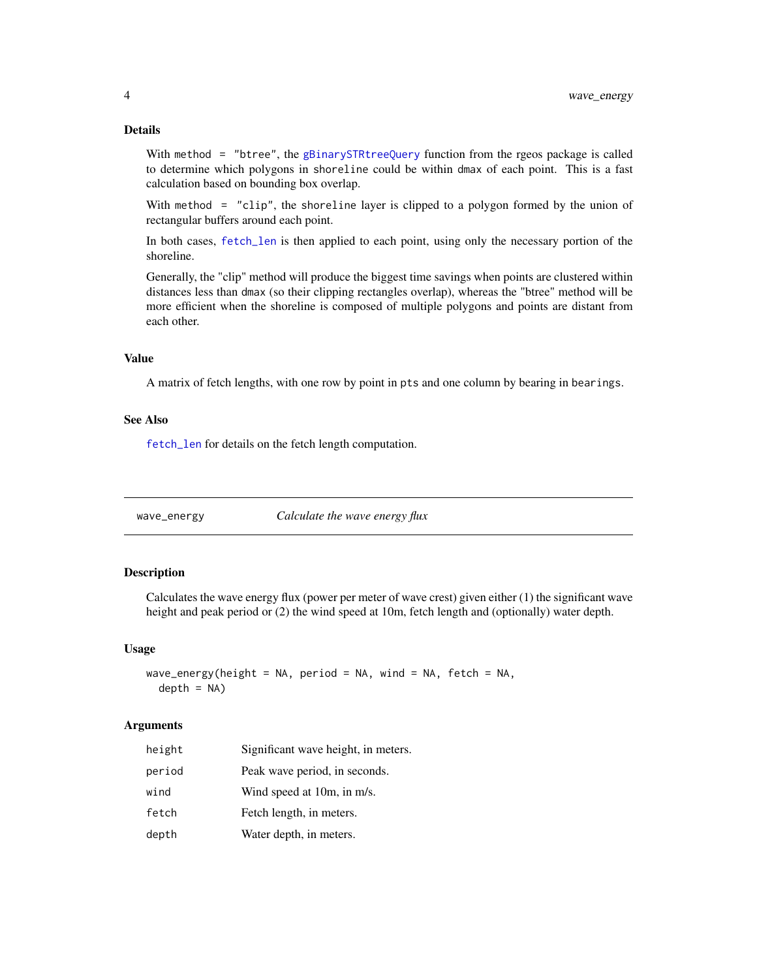# <span id="page-3-0"></span>Details

With method = "btree", the [gBinarySTRtreeQuery](#page-0-0) function from the rgeos package is called to determine which polygons in shoreline could be within dmax of each point. This is a fast calculation based on bounding box overlap.

With method = "clip", the shoreline layer is clipped to a polygon formed by the union of rectangular buffers around each point.

In both cases, [fetch\\_len](#page-1-1) is then applied to each point, using only the necessary portion of the shoreline.

Generally, the "clip" method will produce the biggest time savings when points are clustered within distances less than dmax (so their clipping rectangles overlap), whereas the "btree" method will be more efficient when the shoreline is composed of multiple polygons and points are distant from each other.

# Value

A matrix of fetch lengths, with one row by point in pts and one column by bearing in bearings.

#### See Also

[fetch\\_len](#page-1-1) for details on the fetch length computation.

wave\_energy *Calculate the wave energy flux*

#### Description

Calculates the wave energy flux (power per meter of wave crest) given either (1) the significant wave height and peak period or (2) the wind speed at 10m, fetch length and (optionally) water depth.

#### Usage

```
wave_energy(height = NA, period = NA, wind = NA, fetch = NA,
  depth = NA)
```
# **Arguments**

| height | Significant wave height, in meters. |
|--------|-------------------------------------|
| period | Peak wave period, in seconds.       |
| wind   | Wind speed at 10m, in m/s.          |
| fetch  | Fetch length, in meters.            |
| depth  | Water depth, in meters.             |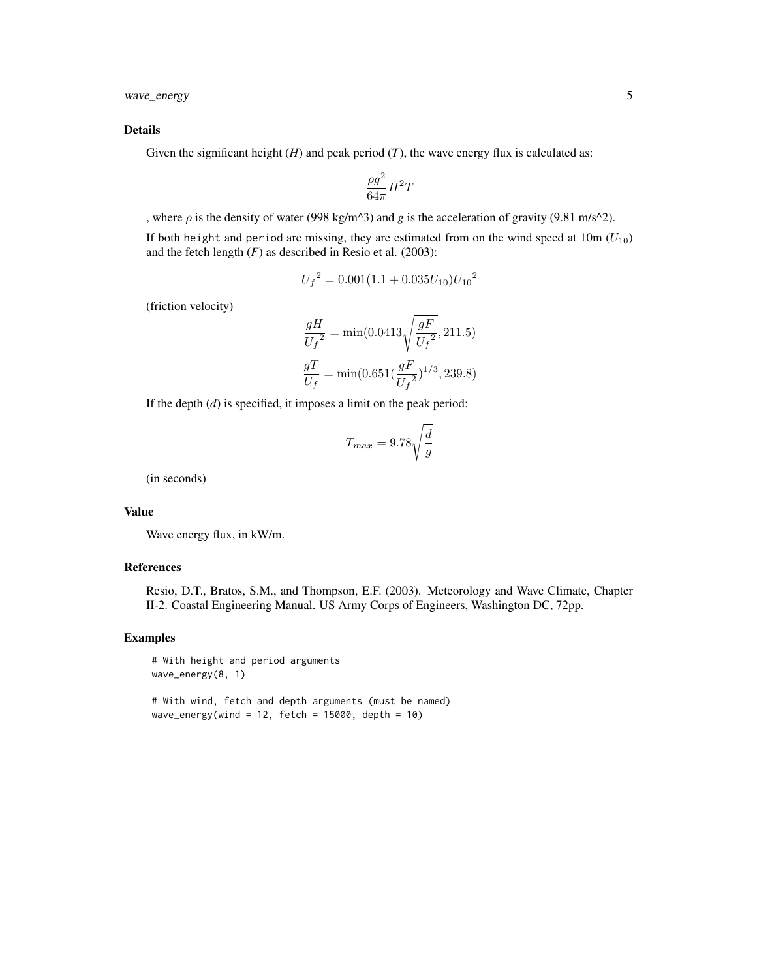wave\_energy 5

#### Details

Given the significant height  $(H)$  and peak period  $(T)$ , the wave energy flux is calculated as:

$$
\frac{\rho g^2}{64\pi}H^2T
$$

, where  $\rho$  is the density of water (998 kg/m<sup> $\land$ 3)</sup> and *g* is the acceleration of gravity (9.81 m/s<sup> $\land$ 2).</sup>

If both height and period are missing, they are estimated from on the wind speed at  $10m (U_{10})$ and the fetch length  $(F)$  as described in Resio et al.  $(2003)$ :

$$
{U_f}^2 = 0.001(1.1 + 0.035U_{10}){U_{10}}^2
$$

(friction velocity)

$$
\begin{split} \frac{gH}{U_f{}^2} &= \min(0.0413\sqrt{\frac{gF}{U_f{}^2}},211.5)\\ \frac{gT}{U_f} &= \min(0.651(\frac{gF}{U_f{}^2})^{1/3},239.8) \end{split}
$$

If the depth (*d*) is specified, it imposes a limit on the peak period:

$$
T_{max} = 9.78 \sqrt{\frac{d}{g}}
$$

(in seconds)

#### Value

Wave energy flux, in kW/m.

#### References

Resio, D.T., Bratos, S.M., and Thompson, E.F. (2003). Meteorology and Wave Climate, Chapter II-2. Coastal Engineering Manual. US Army Corps of Engineers, Washington DC, 72pp.

# Examples

# With height and period arguments wave\_energy(8, 1)

# With wind, fetch and depth arguments (must be named) wave\_energy(wind = 12, fetch = 15000, depth = 10)